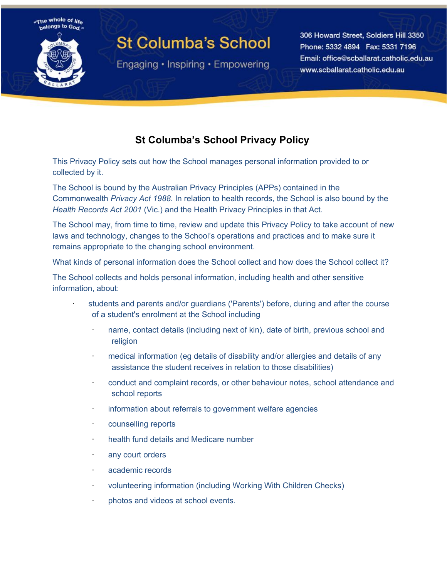

# **St Columba's School**

Engaging • Inspiring • Empowering

306 Howard Street, Soldiers Hill 3350 Phone: 5332 4894 Fax: 5331 7196 Email: office@scballarat.catholic.edu.au www.scballarat.catholic.edu.au

# **St Columba's School Privacy Policy**

This Privacy Policy sets out how the School manages personal information provided to or collected by it.

The School is bound by the Australian Privacy Principles (APPs) contained in the Commonwealth *Privacy Act 1988*. In relation to health records, the School is also bound by the *Health Records Act 2001* (Vic.) and the Health Privacy Principles in that Act.

The School may, from time to time, review and update this Privacy Policy to take account of new laws and technology, changes to the School's operations and practices and to make sure it remains appropriate to the changing school environment.

What kinds of personal information does the School collect and how does the School collect it?

The School collects and holds personal information, including health and other sensitive information, about:

- students and parents and/or guardians ('Parents') before, during and after the course of a student's enrolment at the School including
	- name, contact details (including next of kin), date of birth, previous school and religion
	- · medical information (eg details of disability and/or allergies and details of any assistance the student receives in relation to those disabilities)
	- · conduct and complaint records, or other behaviour notes, school attendance and school reports
	- information about referrals to government welfare agencies
	- · counselling reports
	- · health fund details and Medicare number
	- · any court orders
	- · academic records
	- volunteering information (including Working With Children Checks)
	- photos and videos at school events.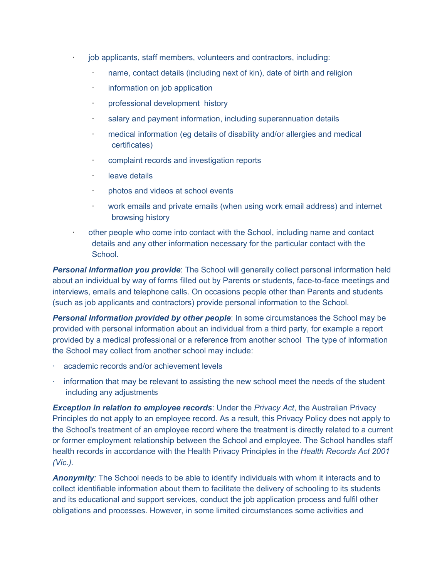- job applicants, staff members, volunteers and contractors, including:
	- name, contact details (including next of kin), date of birth and religion
	- · information on job application
	- · professional development history
	- · salary and payment information, including superannuation details
	- medical information (eg details of disability and/or allergies and medical certificates)
	- complaint records and investigation reports
	- leave details
	- · photos and videos at school events
	- · work emails and private emails (when using work email address) and internet browsing history
	- other people who come into contact with the School, including name and contact details and any other information necessary for the particular contact with the School.

*Personal Information you provide*: The School will generally collect personal information held about an individual by way of forms filled out by Parents or students, face-to-face meetings and interviews, emails and telephone calls. On occasions people other than Parents and students (such as job applicants and contractors) provide personal information to the School.

*Personal Information provided by other people*: In some circumstances the School may be provided with personal information about an individual from a third party, for example a report provided by a medical professional or a reference from another school The type of information the School may collect from another school may include:

- academic records and/or achievement levels
- information that may be relevant to assisting the new school meet the needs of the student including any adjustments

*Exception in relation to employee records*: Under the *Privacy Act*, the Australian Privacy Principles do not apply to an employee record. As a result, this Privacy Policy does not apply to the School's treatment of an employee record where the treatment is directly related to a current or former employment relationship between the School and employee. The School handles staff health records in accordance with the Health Privacy Principles in the *Health Records Act 2001 (Vic.).*

*Anonymity:* The School needs to be able to identify individuals with whom it interacts and to collect identifiable information about them to facilitate the delivery of schooling to its students and its educational and support services, conduct the job application process and fulfil other obligations and processes. However, in some limited circumstances some activities and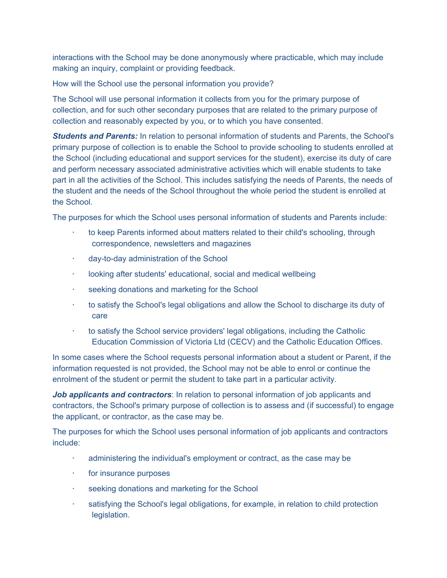interactions with the School may be done anonymously where practicable, which may include making an inquiry, complaint or providing feedback.

How will the School use the personal information you provide?

The School will use personal information it collects from you for the primary purpose of collection, and for such other secondary purposes that are related to the primary purpose of collection and reasonably expected by you, or to which you have consented.

*Students and Parents:* In relation to personal information of students and Parents, the School's primary purpose of collection is to enable the School to provide schooling to students enrolled at the School (including educational and support services for the student), exercise its duty of care and perform necessary associated administrative activities which will enable students to take part in all the activities of the School. This includes satisfying the needs of Parents, the needs of the student and the needs of the School throughout the whole period the student is enrolled at the School.

The purposes for which the School uses personal information of students and Parents include:

- · to keep Parents informed about matters related to their child's schooling, through correspondence, newsletters and magazines
- · day-to-day administration of the School
- looking after students' educational, social and medical wellbeing
- seeking donations and marketing for the School
- to satisfy the School's legal obligations and allow the School to discharge its duty of care
- · to satisfy the School service providers' legal obligations, including the Catholic Education Commission of Victoria Ltd (CECV) and the Catholic Education Offices.

In some cases where the School requests personal information about a student or Parent, if the information requested is not provided, the School may not be able to enrol or continue the enrolment of the student or permit the student to take part in a particular activity.

*Job applicants and contractors*: In relation to personal information of job applicants and contractors, the School's primary purpose of collection is to assess and (if successful) to engage the applicant, or contractor, as the case may be.

The purposes for which the School uses personal information of job applicants and contractors include:

- administering the individual's employment or contract, as the case may be
- for insurance purposes
- seeking donations and marketing for the School
- satisfying the School's legal obligations, for example, in relation to child protection legislation.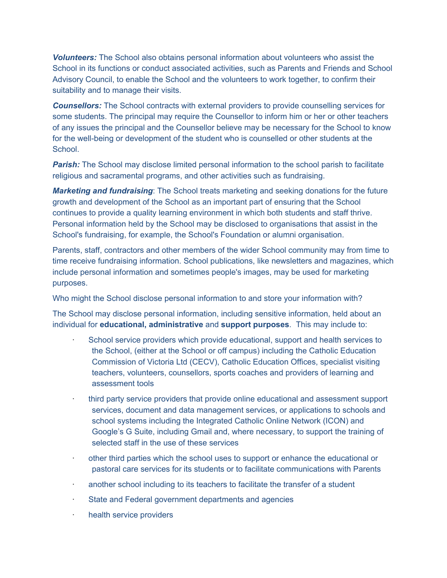*Volunteers:* The School also obtains personal information about volunteers who assist the School in its functions or conduct associated activities, such as Parents and Friends and School Advisory Council, to enable the School and the volunteers to work together, to confirm their suitability and to manage their visits.

**Counsellors:** The School contracts with external providers to provide counselling services for some students. The principal may require the Counsellor to inform him or her or other teachers of any issues the principal and the Counsellor believe may be necessary for the School to know for the well-being or development of the student who is counselled or other students at the School.

**Parish:** The School may disclose limited personal information to the school parish to facilitate religious and sacramental programs, and other activities such as fundraising.

*Marketing and fundraising*: The School treats marketing and seeking donations for the future growth and development of the School as an important part of ensuring that the School continues to provide a quality learning environment in which both students and staff thrive. Personal information held by the School may be disclosed to organisations that assist in the School's fundraising, for example, the School's Foundation or alumni organisation.

Parents, staff, contractors and other members of the wider School community may from time to time receive fundraising information. School publications, like newsletters and magazines, which include personal information and sometimes people's images, may be used for marketing purposes.

Who might the School disclose personal information to and store your information with?

The School may disclose personal information, including sensitive information, held about an individual for **educational, administrative** and **support purposes**. This may include to:

- School service providers which provide educational, support and health services to the School, (either at the School or off campus) including the Catholic Education Commission of Victoria Ltd (CECV), Catholic Education Offices, specialist visiting teachers, volunteers, counsellors, sports coaches and providers of learning and assessment tools
- · third party service providers that provide online educational and assessment support services, document and data management services, or applications to schools and school systems including the Integrated Catholic Online Network (ICON) and Google's G Suite, including Gmail and, where necessary, to support the training of selected staff in the use of these services
- other third parties which the school uses to support or enhance the educational or pastoral care services for its students or to facilitate communications with Parents
- another school including to its teachers to facilitate the transfer of a student
- State and Federal government departments and agencies
- · health service providers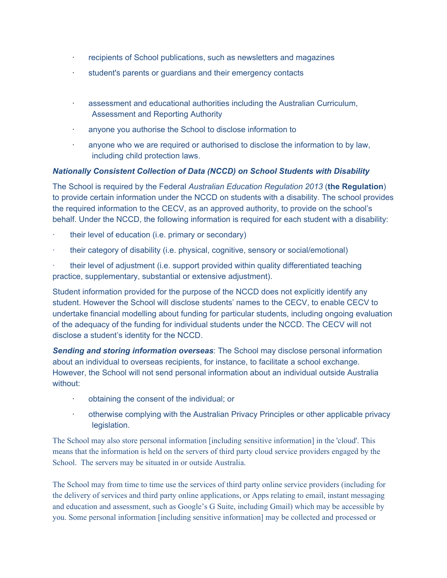- recipients of School publications, such as newsletters and magazines
- student's parents or guardians and their emergency contacts
- · assessment and educational authorities including the Australian Curriculum, Assessment and Reporting Authority
- anyone you authorise the School to disclose information to
- anyone who we are required or authorised to disclose the information to by law, including child protection laws.

## *Nationally Consistent Collection of Data (NCCD) on School Students with Disability*

The School is required by the Federal *Australian Education Regulation 2013* (**the Regulation**) to provide certain information under the NCCD on students with a disability. The school provides the required information to the CECV, as an approved authority, to provide on the school's behalf. Under the NCCD, the following information is required for each student with a disability:

- their level of education (i.e. primary or secondary)
- · their category of disability (i.e. physical, cognitive, sensory or social/emotional)

· their level of adjustment (i.e. support provided within quality differentiated teaching practice, supplementary, substantial or extensive adjustment).

Student information provided for the purpose of the NCCD does not explicitly identify any student. However the School will disclose students' names to the CECV, to enable CECV to undertake financial modelling about funding for particular students, including ongoing evaluation of the adequacy of the funding for individual students under the NCCD. The CECV will not disclose a student's identity for the NCCD.

*Sending and storing information overseas*: The School may disclose personal information about an individual to overseas recipients, for instance, to facilitate a school exchange. However, the School will not send personal information about an individual outside Australia without:

- · obtaining the consent of the individual; or
- · otherwise complying with the Australian Privacy Principles or other applicable privacy legislation.

The School may also store personal information [including sensitive information] in the 'cloud'. This means that the information is held on the servers of third party cloud service providers engaged by the School. The servers may be situated in or outside Australia.

The School may from time to time use the services of third party online service providers (including for the delivery of services and third party online applications, or Apps relating to email, instant messaging and education and assessment, such as Google's G Suite, including Gmail) which may be accessible by you. Some personal information [including sensitive information] may be collected and processed or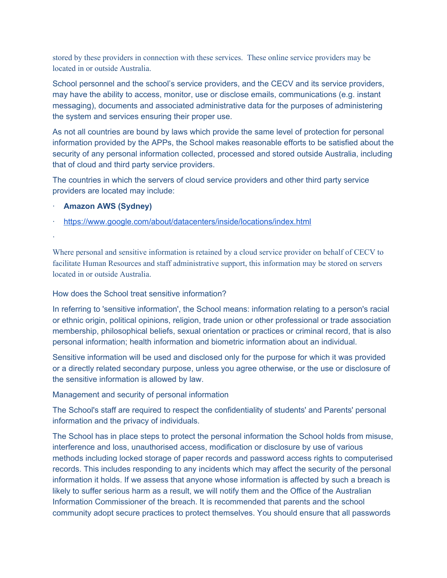stored by these providers in connection with these services. These online service providers may be located in or outside Australia.

School personnel and the school's service providers, and the CECV and its service providers, may have the ability to access, monitor, use or disclose emails, communications (e.g. instant messaging), documents and associated administrative data for the purposes of administering the system and services ensuring their proper use.

As not all countries are bound by laws which provide the same level of protection for personal information provided by the APPs, the School makes reasonable efforts to be satisfied about the security of any personal information collected, processed and stored outside Australia, including that of cloud and third party service providers.

The countries in which the servers of cloud service providers and other third party service providers are located may include:

· **Amazon AWS (Sydney)**

·

· <https://www.google.com/about/datacenters/inside/locations/index.html>

Where personal and sensitive information is retained by a cloud service provider on behalf of CECV to facilitate Human Resources and staff administrative support, this information may be stored on servers located in or outside Australia.

#### How does the School treat sensitive information?

In referring to 'sensitive information', the School means: information relating to a person's racial or ethnic origin, political opinions, religion, trade union or other professional or trade association membership, philosophical beliefs, sexual orientation or practices or criminal record, that is also personal information; health information and biometric information about an individual.

Sensitive information will be used and disclosed only for the purpose for which it was provided or a directly related secondary purpose, unless you agree otherwise, or the use or disclosure of the sensitive information is allowed by law.

### Management and security of personal information

The School's staff are required to respect the confidentiality of students' and Parents' personal information and the privacy of individuals.

The School has in place steps to protect the personal information the School holds from misuse, interference and loss, unauthorised access, modification or disclosure by use of various methods including locked storage of paper records and password access rights to computerised records. This includes responding to any incidents which may affect the security of the personal information it holds. If we assess that anyone whose information is affected by such a breach is likely to suffer serious harm as a result, we will notify them and the Office of the Australian Information Commissioner of the breach. It is recommended that parents and the school community adopt secure practices to protect themselves. You should ensure that all passwords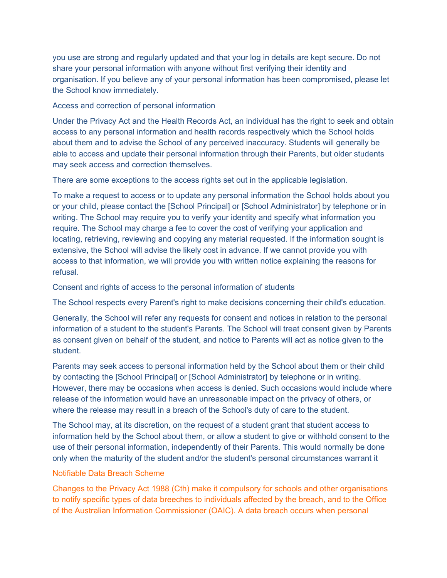you use are strong and regularly updated and that your log in details are kept secure. Do not share your personal information with anyone without first verifying their identity and organisation. If you believe any of your personal information has been compromised, please let the School know immediately.

#### Access and correction of personal information

Under the Privacy Act and the Health Records Act, an individual has the right to seek and obtain access to any personal information and health records respectively which the School holds about them and to advise the School of any perceived inaccuracy. Students will generally be able to access and update their personal information through their Parents, but older students may seek access and correction themselves.

There are some exceptions to the access rights set out in the applicable legislation.

To make a request to access or to update any personal information the School holds about you or your child, please contact the [School Principal] or [School Administrator] by telephone or in writing. The School may require you to verify your identity and specify what information you require. The School may charge a fee to cover the cost of verifying your application and locating, retrieving, reviewing and copying any material requested. If the information sought is extensive, the School will advise the likely cost in advance. If we cannot provide you with access to that information, we will provide you with written notice explaining the reasons for refusal.

Consent and rights of access to the personal information of students

The School respects every Parent's right to make decisions concerning their child's education.

Generally, the School will refer any requests for consent and notices in relation to the personal information of a student to the student's Parents. The School will treat consent given by Parents as consent given on behalf of the student, and notice to Parents will act as notice given to the student.

Parents may seek access to personal information held by the School about them or their child by contacting the [School Principal] or [School Administrator] by telephone or in writing. However, there may be occasions when access is denied. Such occasions would include where release of the information would have an unreasonable impact on the privacy of others, or where the release may result in a breach of the School's duty of care to the student.

The School may, at its discretion, on the request of a student grant that student access to information held by the School about them, or allow a student to give or withhold consent to the use of their personal information, independently of their Parents. This would normally be done only when the maturity of the student and/or the student's personal circumstances warrant it

### Notifiable Data Breach Scheme

Changes to the Privacy Act 1988 (Cth) make it compulsory for schools and other organisations to notify specific types of data breeches to individuals affected by the breach, and to the Office of the Australian Information Commissioner (OAIC). A data breach occurs when personal